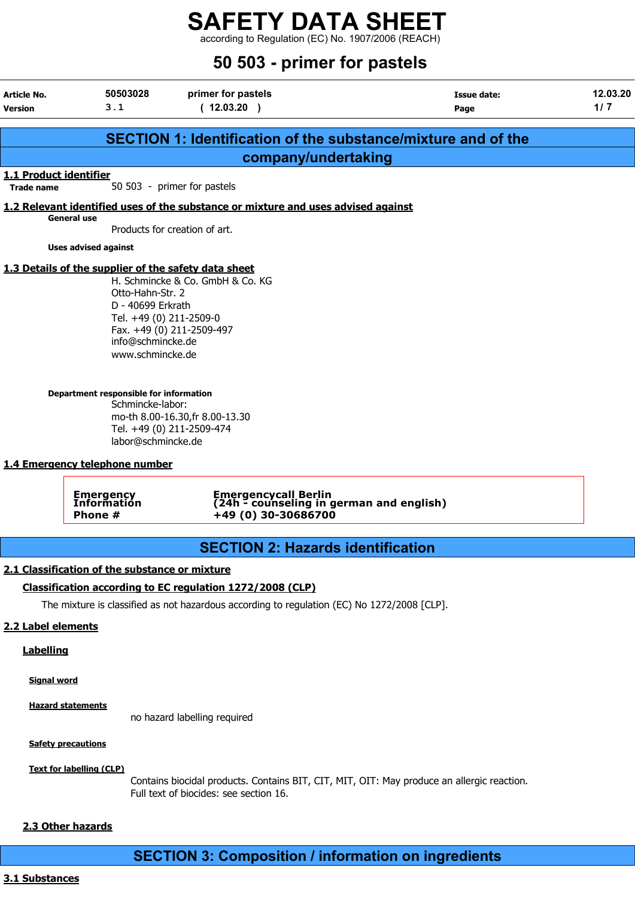according to Regulation (EC) No. 1907/2006 (REACH)

# 50 503 - primer for pastels

| Article No.                                 | 50503028                                                                                                                                                                                      | primer for pastels                                                                                                            | <b>Issue date:</b>                                                   | 12.03.20 |
|---------------------------------------------|-----------------------------------------------------------------------------------------------------------------------------------------------------------------------------------------------|-------------------------------------------------------------------------------------------------------------------------------|----------------------------------------------------------------------|----------|
| <b>Version</b>                              | 3.1                                                                                                                                                                                           | (12.03.20)                                                                                                                    | Page                                                                 | 1/7      |
|                                             |                                                                                                                                                                                               |                                                                                                                               |                                                                      |          |
|                                             |                                                                                                                                                                                               |                                                                                                                               | <b>SECTION 1: Identification of the substance/mixture and of the</b> |          |
|                                             |                                                                                                                                                                                               | company/undertaking                                                                                                           |                                                                      |          |
| 1.1 Product identifier<br><b>Trade name</b> |                                                                                                                                                                                               | 50 503 - primer for pastels                                                                                                   |                                                                      |          |
|                                             |                                                                                                                                                                                               | 1.2 Relevant identified uses of the substance or mixture and uses advised against                                             |                                                                      |          |
|                                             | <b>General use</b>                                                                                                                                                                            | Products for creation of art.                                                                                                 |                                                                      |          |
|                                             |                                                                                                                                                                                               |                                                                                                                               |                                                                      |          |
|                                             | <b>Uses advised against</b><br>1.3 Details of the supplier of the safety data sheet                                                                                                           |                                                                                                                               |                                                                      |          |
|                                             | Otto-Hahn-Str. 2<br>D - 40699 Erkrath<br>Tel. +49 (0) 211-2509-0<br>info@schmincke.de<br>www.schmincke.de<br>Department responsible for information<br>Schmincke-labor:<br>labor@schmincke.de | H. Schmincke & Co. GmbH & Co. KG<br>Fax. +49 (0) 211-2509-497<br>mo-th 8.00-16.30, fr 8.00-13.30<br>Tel. +49 (0) 211-2509-474 |                                                                      |          |
|                                             | 1.4 Emergency telephone number                                                                                                                                                                |                                                                                                                               |                                                                      |          |
|                                             | <b>Emergency</b><br>Information<br>Phone #                                                                                                                                                    | Emergencycall Berlin<br>(24h - counseling in german and english)<br>+49 (0) 30-30686700                                       |                                                                      |          |
|                                             |                                                                                                                                                                                               | <b>SECTION 2: Hazards identification</b>                                                                                      |                                                                      |          |
|                                             | 2.1 Classification of the substance or mixture                                                                                                                                                |                                                                                                                               |                                                                      |          |
|                                             |                                                                                                                                                                                               | Classification according to EC regulation 1272/2008 (CLP)                                                                     |                                                                      |          |
|                                             |                                                                                                                                                                                               | The mixture is classified as not hazardous according to regulation (EC) No 1272/2008 [CLP].                                   |                                                                      |          |
|                                             |                                                                                                                                                                                               |                                                                                                                               |                                                                      |          |
| 2.2 Label elements                          |                                                                                                                                                                                               |                                                                                                                               |                                                                      |          |
| <b>Labelling</b>                            |                                                                                                                                                                                               |                                                                                                                               |                                                                      |          |
| <b>Signal word</b>                          |                                                                                                                                                                                               |                                                                                                                               |                                                                      |          |
|                                             | <b>Hazard statements</b>                                                                                                                                                                      |                                                                                                                               |                                                                      |          |

no hazard labelling required

**Safety precautions** 

Text for labelling (CLP)

Contains biocidal products. Contains BIT, CIT, MIT, OIT: May produce an allergic reaction. Full text of biocides: see section 16.

#### 2.3 Other hazards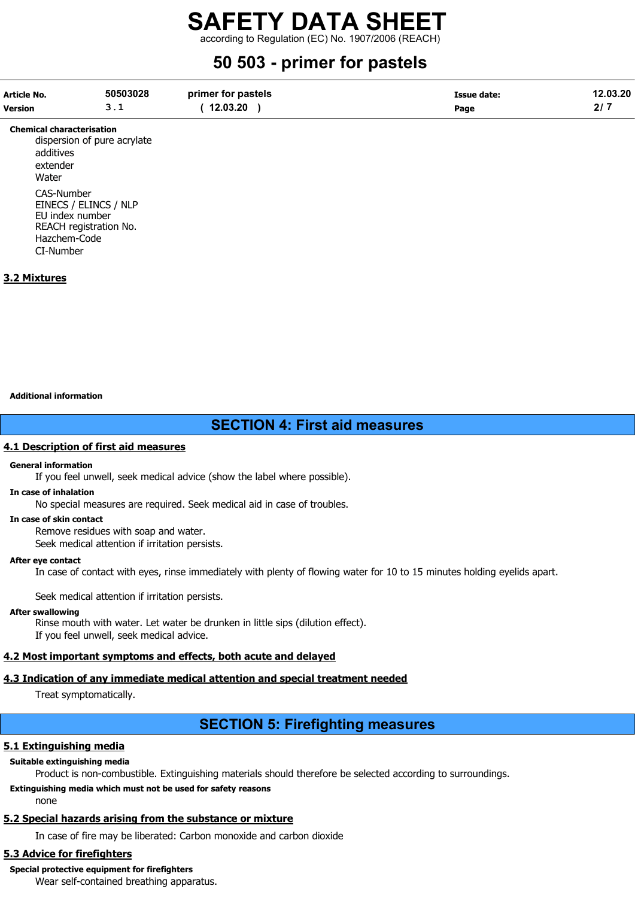according to Regulation (EC) No. 1907/2006 (REACH)

# 50 503 - primer for pastels

| Article No.    | 50503028 | primer for pastels | Issue date: | 12.03.20 |
|----------------|----------|--------------------|-------------|----------|
| <b>Version</b> |          | 12.03.20           | Page        |          |

Chemical characterisation dispersion of pure acrylate additives extender **Water** CAS-Number EINECS / ELINCS / NLP EU index number REACH registration No. Hazchem-Code CI-Number

# 3.2 Mixtures

#### Additional information

# SECTION 4: First aid measures

### 4.1 Description of first aid measures

#### General information

If you feel unwell, seek medical advice (show the label where possible).

#### In case of inhalation

No special measures are required. Seek medical aid in case of troubles.

#### In case of skin contact

Remove residues with soap and water.

Seek medical attention if irritation persists.

#### After eye contact

In case of contact with eyes, rinse immediately with plenty of flowing water for 10 to 15 minutes holding eyelids apart.

Seek medical attention if irritation persists.

#### After swallowing

Rinse mouth with water. Let water be drunken in little sips (dilution effect). If you feel unwell, seek medical advice.

# 4.2 Most important symptoms and effects, both acute and delayed

# 4.3 Indication of any immediate medical attention and special treatment needed

Treat symptomatically.

# SECTION 5: Firefighting measures

# 5.1 Extinguishing media

# Suitable extinguishing media

Product is non-combustible. Extinguishing materials should therefore be selected according to surroundings.

# Extinguishing media which must not be used for safety reasons

none

# 5.2 Special hazards arising from the substance or mixture

In case of fire may be liberated: Carbon monoxide and carbon dioxide

# 5.3 Advice for firefighters

# Special protective equipment for firefighters

Wear self-contained breathing apparatus.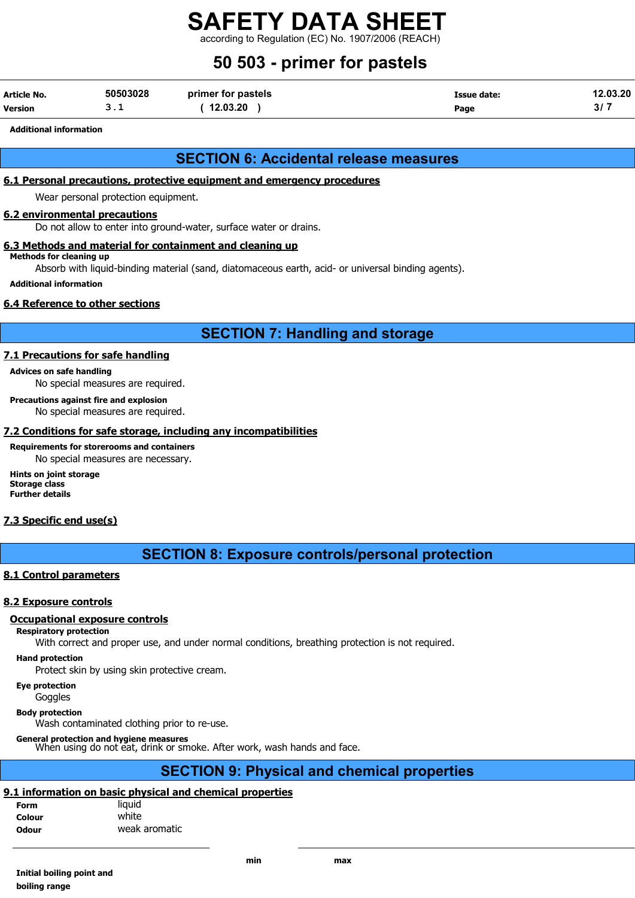according to Regulation (EC) No. 1907/2006 (REA

# 50 503 - primer for pastels

| Article No.    | 50503028 | primer for pastels | Issue date: | 12.03.20 |
|----------------|----------|--------------------|-------------|----------|
| <b>Version</b> |          | 12.03.20           | Page        | JI.      |

Additional information

# SECTION 6: Accidental release measures

# 6.1 Personal precautions, protective equipment and emergency procedures

Wear personal protection equipment.

#### 6.2 environmental precautions

Do not allow to enter into ground-water, surface water or drains.

## 6.3 Methods and material for containment and cleaning up

Methods for cleaning up

Absorb with liquid-binding material (sand, diatomaceous earth, acid- or universal binding agents).

#### Additional information

## 6.4 Reference to other sections

# SECTION 7: Handling and storage

### 7.1 Precautions for safe handling

Advices on safe handling

No special measures are required.

Precautions against fire and explosion

No special measures are required.

### 7.2 Conditions for safe storage, including any incompatibilities

Requirements for storerooms and containers No special measures are necessary.

Hints on joint storage Storage class Further details

## 7.3 Specific end use(s)

# SECTION 8: Exposure controls/personal protection

## 8.1 Control parameters

#### 8.2 Exposure controls

#### Occupational exposure controls

Respiratory protection

With correct and proper use, and under normal conditions, breathing protection is not required.

Hand protection

Protect skin by using skin protective cream.

Eye protection

**Goggles** 

Body protection

Wash contaminated clothing prior to re-use.

General protection and hygiene measures<br>When using do not eat, drink or smoke. After work, wash hands and face.

# SECTION 9: Physical and chemical properties

## 9.1 information on basic physical and chemical properties

| Form         | liguid        |
|--------------|---------------|
| Colour       | white         |
| <b>Odour</b> | weak aromatic |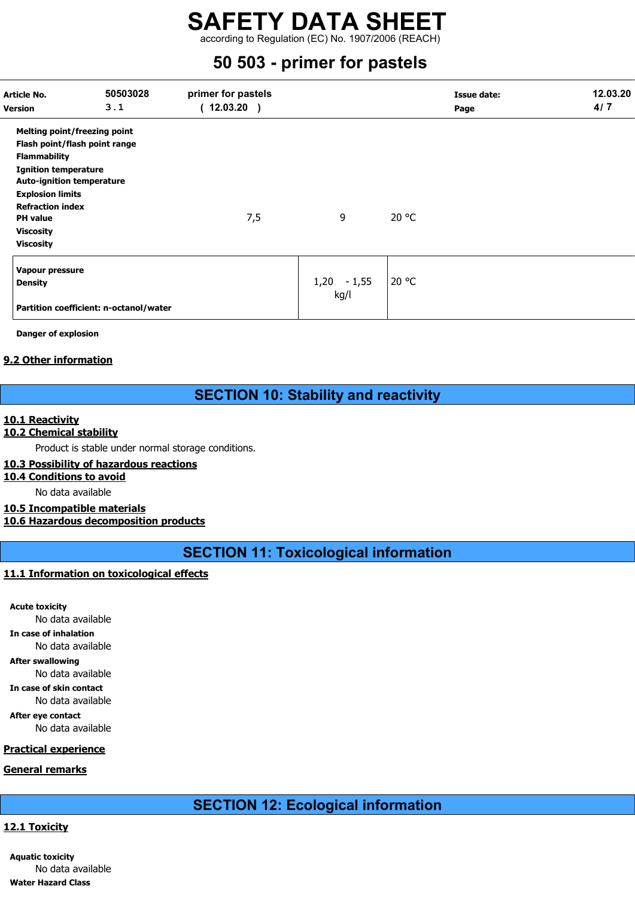according to Regulation (EC) No. 1907/2006 (REACH)

# 50 503 - primer for pastels

| Article No.<br><b>Version</b>    | 50503028<br>3.1                        | primer for pastels<br>(12.03.20) |               |       | <b>Issue date:</b><br>Page | 12.03.20<br>4/7 |
|----------------------------------|----------------------------------------|----------------------------------|---------------|-------|----------------------------|-----------------|
| Melting point/freezing point     |                                        |                                  |               |       |                            |                 |
| Flash point/flash point range    |                                        |                                  |               |       |                            |                 |
| <b>Flammability</b>              |                                        |                                  |               |       |                            |                 |
| <b>Ignition temperature</b>      |                                        |                                  |               |       |                            |                 |
| <b>Auto-ignition temperature</b> |                                        |                                  |               |       |                            |                 |
| <b>Explosion limits</b>          |                                        |                                  |               |       |                            |                 |
| <b>Refraction index</b>          |                                        |                                  |               |       |                            |                 |
| <b>PH</b> value                  |                                        | 7,5                              | 9             | 20 °C |                            |                 |
| <b>Viscosity</b>                 |                                        |                                  |               |       |                            |                 |
| <b>Viscosity</b>                 |                                        |                                  |               |       |                            |                 |
| Vapour pressure                  |                                        |                                  |               |       |                            |                 |
| <b>Density</b>                   |                                        |                                  | $1,20 - 1,55$ | 20 °C |                            |                 |
|                                  | Partition coefficient: n-octanol/water |                                  | kg/l          |       |                            |                 |

Danger of explosion

## 9.2 Other information

# SECTION 10: Stability and reactivity

### 10.1 Reactivity

### 10.2 Chemical stability

Product is stable under normal storage conditions.

### 10.3 Possibility of hazardous reactions

10.4 Conditions to avoid

No data available

#### 10.5 Incompatible materials 10.6 Hazardous decomposition products

SECTION 11: Toxicological information

## 11.1 Information on toxicological effects

Acute toxicity No data available In case of inhalation No data available After swallowing No data available In case of skin contact No data available After eye contact No data available

# Practical experience

# General remarks

# SECTION 12: Ecological information

# 12.1 Toxicity

Aquatic toxicity No data available Water Hazard Class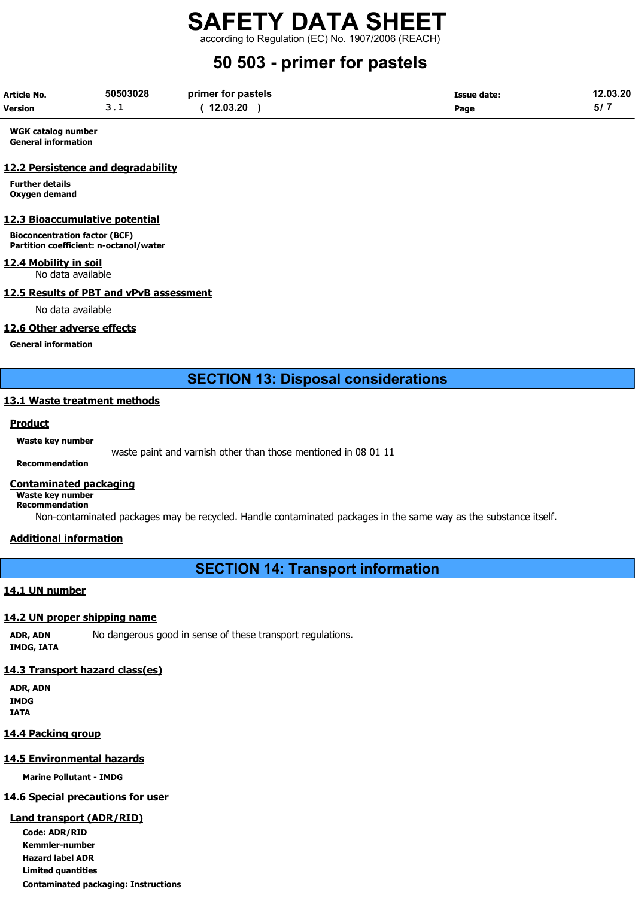according to Regulation (EC) No. 1907/2006 (REACH)

# 50 503 - primer for pastels

| Article No. | 50503028 | primer for pastels | Issue date: | 12.03.20 |
|-------------|----------|--------------------|-------------|----------|
| Version     |          | 12.03.20           | Page        | 517      |

WGK catalog number General information

#### 12.2 Persistence and degradability

Further details Oxygen demand

#### 12.3 Bioaccumulative potential

Bioconcentration factor (BCF) Partition coefficient: n-octanol/water

# 12.4 Mobility in soil

No data available

## 12.5 Results of PBT and vPvB assessment

No data available

### 12.6 Other adverse effects

General information

# SECTION 13: Disposal considerations

#### 13.1 Waste treatment methods

#### **Product**

#### Waste key number

waste paint and varnish other than those mentioned in 08 01 11

# Recommendation

## Contaminated packaging

Waste key number Recommendation

Non-contaminated packages may be recycled. Handle contaminated packages in the same way as the substance itself.

#### Additional information

SECTION 14: Transport information

## 14.1 UN number

#### 14.2 UN proper shipping name

ADR, ADN No dangerous good in sense of these transport regulations. IMDG, IATA

# 14.3 Transport hazard class(es)

ADR, ADN IMDG IATA

# 14.4 Packing group

# 14.5 Environmental hazards

Marine Pollutant - IMDG

# 14.6 Special precautions for user

# Land transport (ADR/RID)

Code: ADR/RID Kemmler-number Hazard label ADR Limited quantities Contaminated packaging: Instructions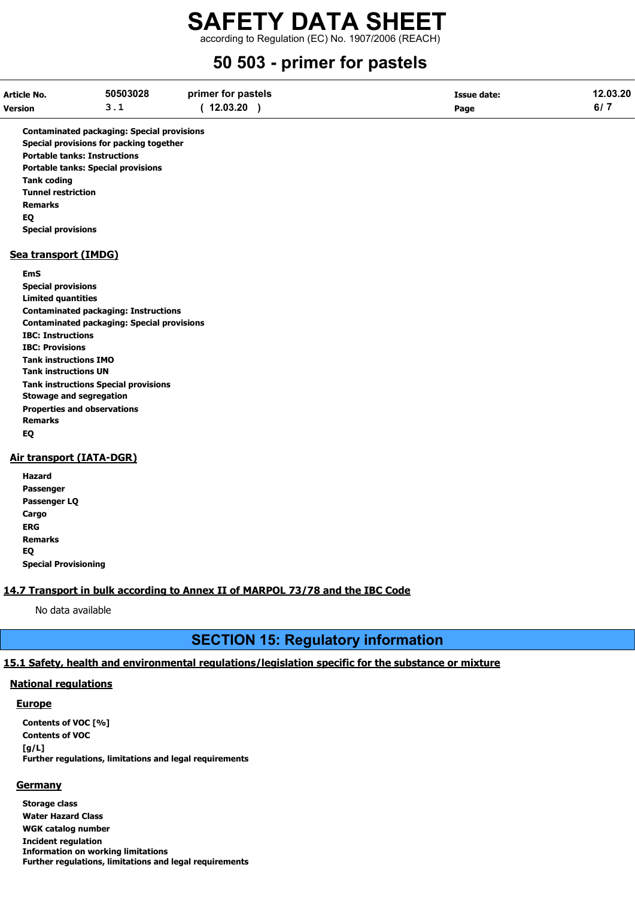according to Regulation (EC) No. 1907/2006 (REACH)

# 50 503 - primer for pastels

| Article No.    | 50503028 | primer for pastels | <b>Issue date:</b> | 12.03.20 |
|----------------|----------|--------------------|--------------------|----------|
| <b>Version</b> | ـ . ـ    | 12.03.20           | Page               | 6/7      |

Contaminated packaging: Special provisions Special provisions for packing together Portable tanks: Instructions Portable tanks: Special provisions Tank coding Tunnel restriction Remarks EQ Special provisions

#### Sea transport (IMDG)

#### EmS

Special provisions Limited quantities Contaminated packaging: Instructions Contaminated packaging: Special provisions IBC: Instructions IBC: Provisions Tank instructions IMO Tank instructions UN Tank instructions Special provisions Stowage and segregation Properties and observations Remarks EQ

## Air transport (IATA-DGR)

| Hazard                      |
|-----------------------------|
| Passenger                   |
| Passenger LQ                |
| Cargo                       |
| ERG                         |
| Remarks                     |
| EO                          |
| <b>Special Provisioning</b> |

#### 14.7 Transport in bulk according to Annex II of MARPOL 73/78 and the IBC Code

No data available

# SECTION 15: Regulatory information

### 15.1 Safety, health and environmental regulations/legislation specific for the substance or mixture

#### National regulations

#### **Europe**

Contents of VOC [%] Contents of VOC  $[g/L]$ Further regulations, limitations and legal requirements

#### **Germany**

Storage class Water Hazard Class WGK catalog number Incident regulation Information on working limitations Further regulations, limitations and legal requirements